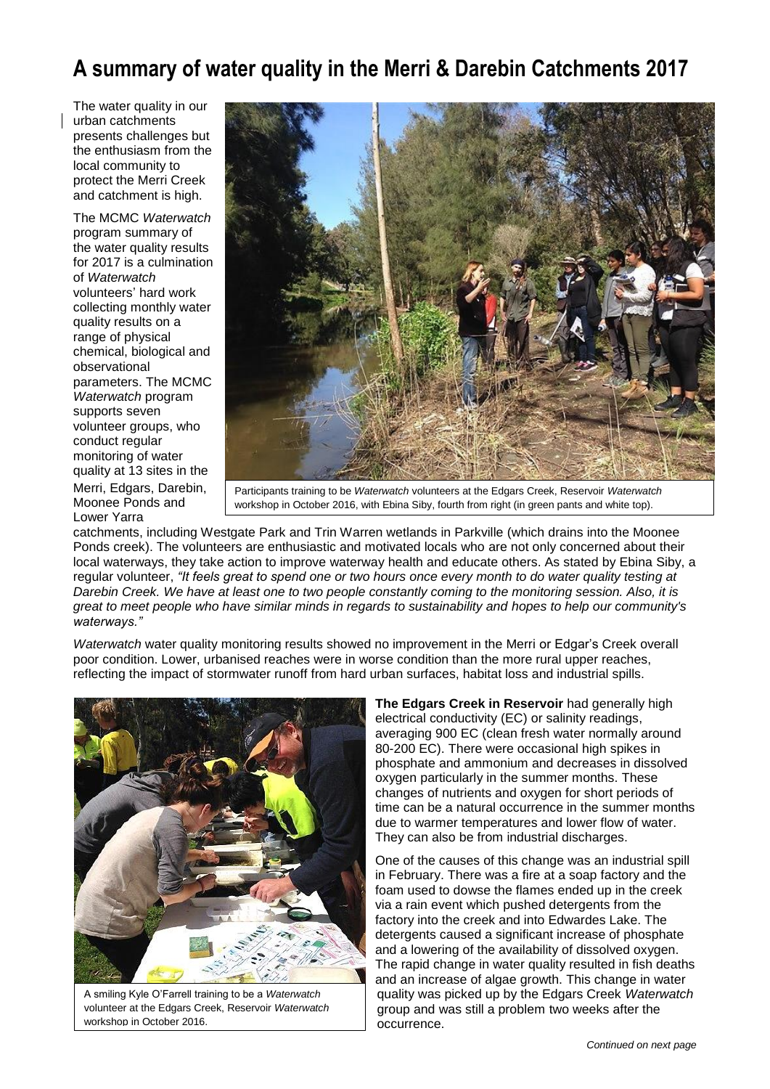## **A summary of water quality in the Merri & Darebin Catchments 2017**

The water quality in our urban catchments presents challenges but the enthusiasm from the local community to protect the Merri Creek and catchment is high.

The MCMC *Waterwatch* program summary of the water quality results for 2017 is a culmination of *Waterwatch* volunteers' hard work collecting monthly water quality results on a range of physical chemical, biological and observational parameters. The MCMC *Waterwatch* program supports seven volunteer groups, who conduct regular monitoring of water quality at 13 sites in the Merri, Edgars, Darebin, Moonee Ponds and Lower Yarra



Participants training to be *Waterwatch* volunteers at the Edgars Creek, Reservoir *Waterwatch* workshop in October 2016, with Ebina Siby, fourth from right (in green pants and white top).

catchments, including Westgate Park and Trin Warren wetlands in Parkville (which drains into the Moonee Ponds creek). The volunteers are enthusiastic and motivated locals who are not only concerned about their local waterways, they take action to improve waterway health and educate others. As stated by Ebina Siby, a regular volunteer, *"It feels great to spend one or two hours once every month to do water quality testing at Darebin Creek. We have at least one to two people constantly coming to the monitoring session. Also, it is great to meet people who have similar minds in regards to sustainability and hopes to help our community's waterways."*

*Waterwatch* water quality monitoring results showed no improvement in the Merri or Edgar's Creek overall poor condition. Lower, urbanised reaches were in worse condition than the more rural upper reaches, reflecting the impact of stormwater runoff from hard urban surfaces, habitat loss and industrial spills.



A smiling Kyle O'Farrell training to be a *Waterwatch* volunteer at the Edgars Creek, Reservoir *Waterwatch* workshop in October 2016.

**The Edgars Creek in Reservoir** had generally high electrical conductivity (EC) or salinity readings, averaging 900 EC (clean fresh water normally around 80-200 EC). There were occasional high spikes in phosphate and ammonium and decreases in dissolved oxygen particularly in the summer months. These changes of nutrients and oxygen for short periods of time can be a natural occurrence in the summer months due to warmer temperatures and lower flow of water. They can also be from industrial discharges.

One of the causes of this change was an industrial spill in February. There was a fire at a soap factory and the foam used to dowse the flames ended up in the creek via a rain event which pushed detergents from the factory into the creek and into Edwardes Lake. The detergents caused a significant increase of phosphate and a lowering of the availability of dissolved oxygen. The rapid change in water quality resulted in fish deaths and an increase of algae growth. This change in water quality was picked up by the Edgars Creek *Waterwatch*  group and was still a problem two weeks after the occurrence.